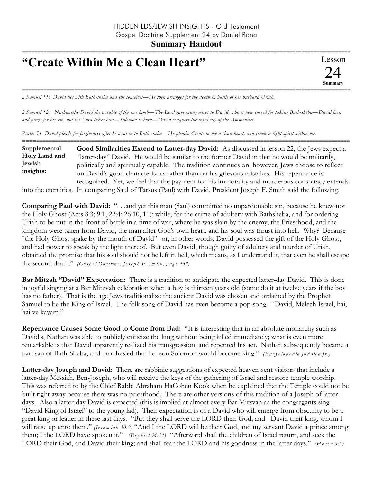## **"Create Within Me a Clean Heart"**

=========================================================================================================== *2 Samuel 11; David lies with Bath-sheba and she conceives—He then arranges for the death in battle of her husband Uriah.*

*2 Samuel 12; Nathantells David the parable of the ewe lamb—The Lord gave many wives to David, who is now cursed for taking Bath-sheba—David fasts and prays for his son, but the Lord takes him—Solomon is born—David conquers the royal city of the Ammonites.*

*Psalm 51 David pleads for forgiveness after he went in to Bath-sheba—He pleads: Create in me a clean heart, and renew a right spirit within me.*

| Supplemental  | Good Similarities Extend to Latter-day David: As discussed in lesson 22, the Jews expect a                                                                                                                                         |
|---------------|------------------------------------------------------------------------------------------------------------------------------------------------------------------------------------------------------------------------------------|
| Holy Land and | "latter-day" David. He would be similar to the former David in that he would be militarily,                                                                                                                                        |
| Jewish        | politically and spiritually capable. The tradition continues on, however, Jews choose to reflect                                                                                                                                   |
| insights:     | on David's good characteristics rather than on his grievous mistakes. His repentance is                                                                                                                                            |
|               | recognized. Yet, we feel that the payment for his immorality and murderous conspiracy extends                                                                                                                                      |
|               | $\mathcal{L}$ , and the state of the state of the state of the state of the state of the state of the state of the state of the state of the state of the state of the state of the state of the state of the state of the state o |

into the eternities. In comparing Saul of Tarsus (Paul) with David, President Joseph F. Smith said the following.

**Comparing Paul with David:** ". . .and yet this man (Saul) committed no unpardonable sin, because he knew not the Holy Ghost (Acts 8:3; 9:1; 22:4; 26:10, 11); while, for the crime of adultery with Bathsheba, and for ordering Uriah to be put in the front of battle in a time of war, where he was slain by the enemy, the Priesthood, and the kingdom were taken from David, the man after God's own heart, and his soul was thrust into hell. Why? Because "the Holy Ghost spake by the mouth of David"--or, in other words, David possessed the gift of the Holy Ghost, and had power to speak by the light thereof. But even David, though guilty of adultery and murder of Uriah, obtained the promise that his soul should not be left in hell, which means, as I understand it, that even he shall escape the second death." *(Go s p e l Do c trin e , Jo s e p h F. Sm ith , p a g e 433)*

**Bar Mitzah "David" Expectation:** There is a tradition to anticipate the expected latter-day David. This is done in joyful singing at a Bar Mitzvah celebration when a boy is thirteen years old (some do it at twelve years if the boy has no father). That is the age Jews traditionalize the ancient David was chosen and ordained by the Prophet Samuel to be the King of Israel. The folk song of David has even become a pop-song: "David, Melech Israel, hai, hai ve kayam."

**Repentance Causes Some Good to Come from Bad:** "It is interesting that in an absolute monarchy such as David's, Nathan was able to publicly criticize the king without being killed immediately; what is even more remarkable is that David apparently realized his transgression, and repented his act. Nathan subsequently became a partisan of Bath-Sheba, and prophesied that her son Solomon would become king." *(En c y c lo p e d ia Ju d a ic a Jr.)*

**Latter-day Joseph and David**: There are rabbinic suggestions of expected heaven-sent visitors that include a latter-day Messiah, Ben-Joseph, who will receive the keys of the gathering of Israel and restore temple worship. This was referred to by the Chief Rabbi Abraham HaCohen Kook when he explained that the Temple could not be built right away because there was no priesthood. There are other versions of this tradition of a Joseph of latter days. Also a latter-day David is expected (this is implied at almost every Bar Mitzvah as the congregants sing "David King of Israel" to the young lad). Their expectation is of a David who will emerge from obscurity to be a great king or leader in these last days. "But they shall serve the LORD their God, and David their king, whom I will raise up unto them." *(Jerem iah 30:9)* "And I the LORD will be their God, and my servant David a prince among them; I the LORD have spoken it." *(Eze kie l 34:24)* "Afterward shall the children of Israel return, and seek the LORD their God, and David their king; and shall fear the LORD and his goodness in the latter days." *(H o s e a 3:5)*